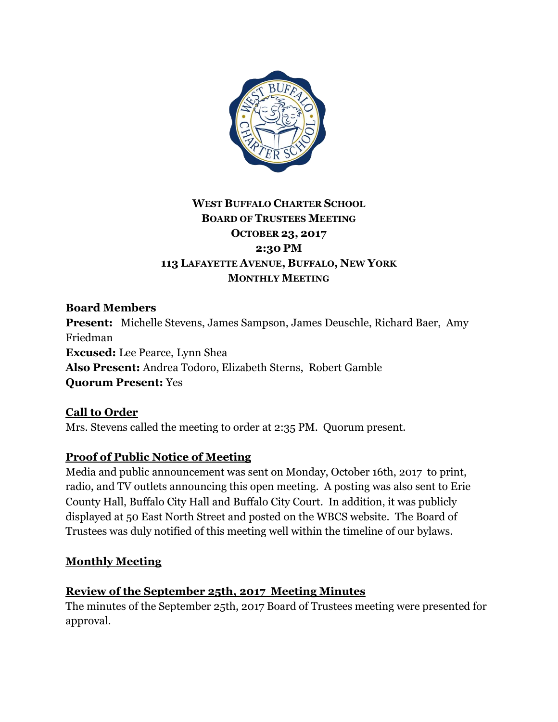

# **WEST BUFFALO CHARTER SCHOOL BOARD OF TRUSTEES MEETING OCTOBER 23, 2017 2:30 PM 113 LAFAYETTE AVENUE, BUFFALO, NEW YORK MONTHLY MEETING**

**Board Members Present:** Michelle Stevens, James Sampson, James Deuschle, Richard Baer, Amy Friedman **Excused:** Lee Pearce, Lynn Shea **Also Present:** Andrea Todoro, Elizabeth Sterns, Robert Gamble **Quorum Present:** Yes

**Call to Order** Mrs. Stevens called the meeting to order at 2:35 PM. Quorum present.

# **Proof of Public Notice of Meeting**

Media and public announcement was sent on Monday, October 16th, 2017 to print, radio, and TV outlets announcing this open meeting. A posting was also sent to Erie County Hall, Buffalo City Hall and Buffalo City Court. In addition, it was publicly displayed at 50 East North Street and posted on the WBCS website. The Board of Trustees was duly notified of this meeting well within the timeline of our bylaws.

## **Monthly Meeting**

## **Review of the September 25th, 2017 Meeting Minutes**

The minutes of the September 25th, 2017 Board of Trustees meeting were presented for approval.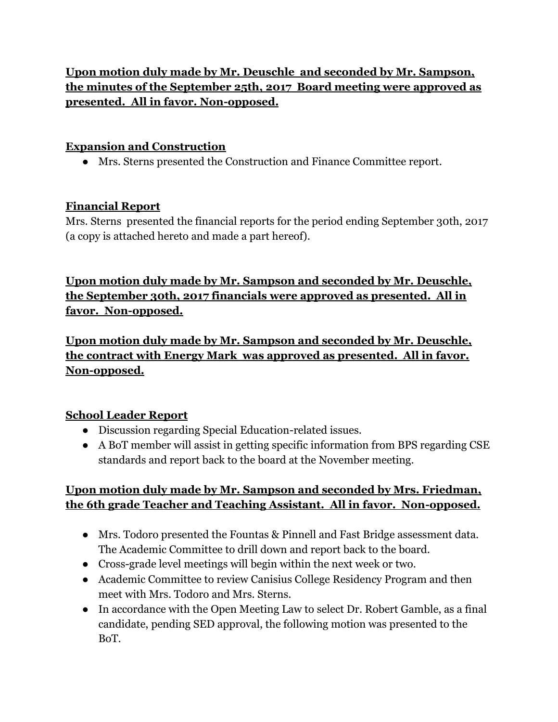**Upon motion duly made by Mr. Deuschle and seconded by Mr. Sampson, the minutes of the September 25th, 2017 Board meeting were approved as presented. All in favor. Non-opposed.**

## **Expansion and Construction**

● Mrs. Sterns presented the Construction and Finance Committee report.

#### **Financial Report**

Mrs. Sterns presented the financial reports for the period ending September 30th, 2017 (a copy is attached hereto and made a part hereof).

**Upon motion duly made by Mr. Sampson and seconded by Mr. Deuschle, the September 30th, 2017 financials were approved as presented. All in favor. Non-opposed.**

**Upon motion duly made by Mr. Sampson and seconded by Mr. Deuschle, the contract with Energy Mark was approved as presented. All in favor. Non-opposed.**

## **School Leader Report**

- Discussion regarding Special Education-related issues.
- A BoT member will assist in getting specific information from BPS regarding CSE standards and report back to the board at the November meeting.

## **Upon motion duly made by Mr. Sampson and seconded by Mrs. Friedman, the 6th grade Teacher and Teaching Assistant. All in favor. Non-opposed.**

- Mrs. Todoro presented the Fountas & Pinnell and Fast Bridge assessment data. The Academic Committee to drill down and report back to the board.
- Cross-grade level meetings will begin within the next week or two.
- Academic Committee to review Canisius College Residency Program and then meet with Mrs. Todoro and Mrs. Sterns.
- In accordance with the Open Meeting Law to select Dr. Robert Gamble, as a final candidate, pending SED approval, the following motion was presented to the BoT.